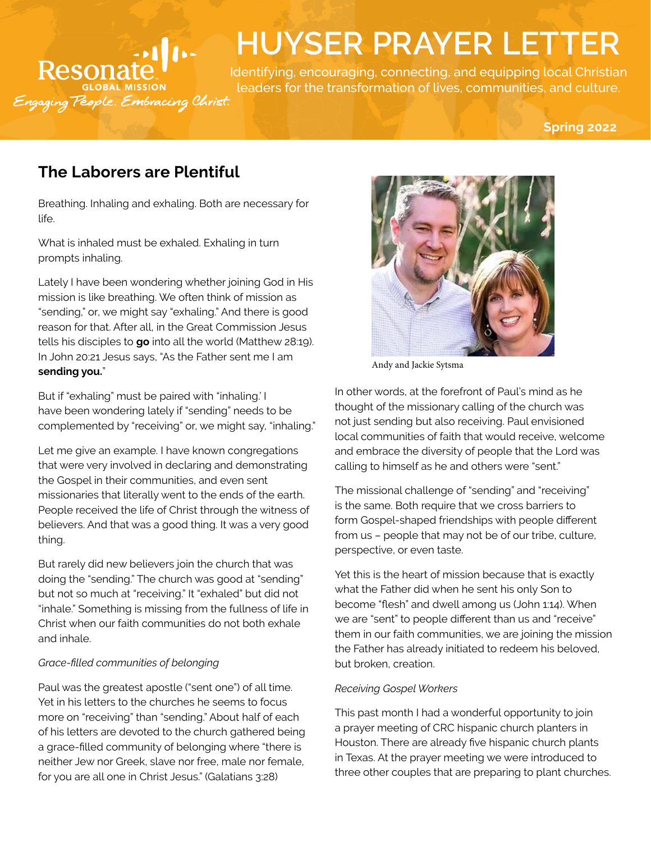

# **HUYSER PRAYER LETTER**

Identifying, encouraging, connecting, and equipping local Christian leaders for the transformation of lives, communities, and culture.

**Spring 2022**

# **The Laborers are Plentiful**

Breathing. Inhaling and exhaling. Both are necessary for life.

What is inhaled must be exhaled. Exhaling in turn prompts inhaling.

Lately I have been wondering whether joining God in His mission is like breathing. We often think of mission as "sending," or, we might say "exhaling." And there is good reason for that. After all, in the Great Commission Jesus tells his disciples to **go** into all the world (Matthew 28:19). In John 20:21 Jesus says, "As the Father sent me I am **sending you.**"

But if "exhaling" must be paired with "inhaling.' I have been wondering lately if "sending" needs to be complemented by "receiving" or, we might say, "inhaling."

Let me give an example. I have known congregations that were very involved in declaring and demonstrating the Gospel in their communities, and even sent missionaries that literally went to the ends of the earth. People received the life of Christ through the witness of believers. And that was a good thing. It was a very good thing.

But rarely did new believers join the church that was doing the "sending." The church was good at "sending" but not so much at "receiving." It "exhaled" but did not "inhale." Something is missing from the fullness of life in Christ when our faith communities do not both exhale and inhale.

# *Grace-filled communities of belonging*

Paul was the greatest apostle ("sent one") of all time. Yet in his letters to the churches he seems to focus more on "receiving" than "sending." About half of each of his letters are devoted to the church gathered being a grace-filled community of belonging where "there is neither Jew nor Greek, slave nor free, male nor female, for you are all one in Christ Jesus." (Galatians 3:28)



Andy and Jackie Sytsma

In other words, at the forefront of Paul's mind as he thought of the missionary calling of the church was not just sending but also receiving. Paul envisioned local communities of faith that would receive, welcome and embrace the diversity of people that the Lord was calling to himself as he and others were "sent."

The missional challenge of "sending" and "receiving" is the same. Both require that we cross barriers to form Gospel-shaped friendships with people different from us – people that may not be of our tribe, culture, perspective, or even taste.

Yet this is the heart of mission because that is exactly what the Father did when he sent his only Son to become "flesh" and dwell among us (John 1:14). When we are "sent" to people different than us and "receive" them in our faith communities, we are joining the mission the Father has already initiated to redeem his beloved, but broken, creation.

# *Receiving Gospel Workers*

This past month I had a wonderful opportunity to join a prayer meeting of CRC hispanic church planters in Houston. There are already five hispanic church plants in Texas. At the prayer meeting we were introduced to three other couples that are preparing to plant churches.